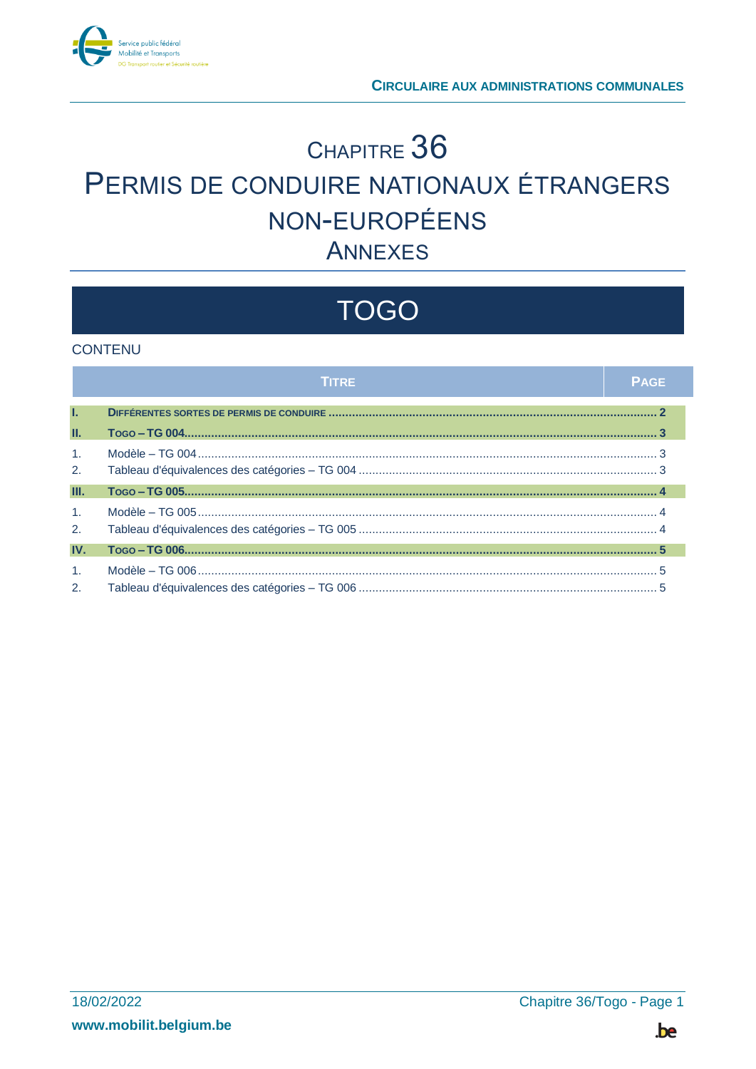

## CHAPITRE 36 PERMIS DE CONDUIRE NATIONAUX ÉTRANGERS NON-EUROPÉENS **ANNEXES**

# **TOGO**

#### **CONTENU**

|                      | <b>TITRE</b> | <b>PAGE</b> |
|----------------------|--------------|-------------|
| T.                   |              |             |
| Ш.                   |              |             |
| $\mathbf{1}$ .<br>2. |              |             |
| Ш.                   |              |             |
| $\mathbf{1}$ .<br>2. |              |             |
| IV.                  |              |             |
| $\mathbf{1}$ .<br>2. |              |             |

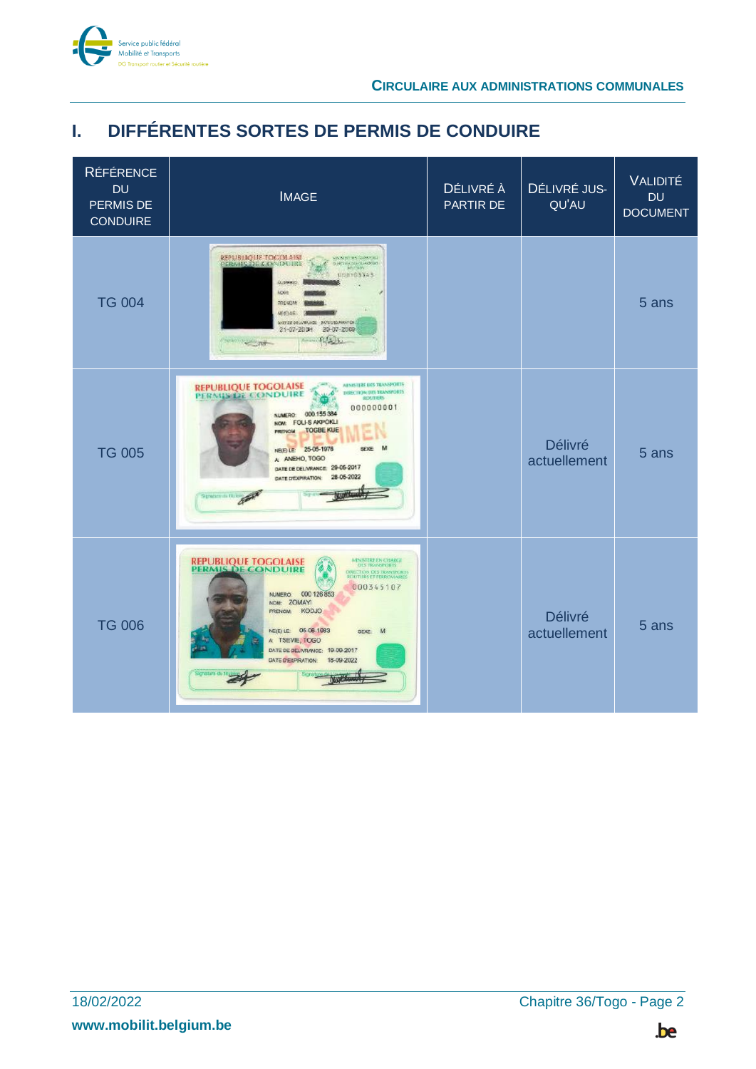

## <span id="page-1-0"></span>**I. DIFFÉRENTES SORTES DE PERMIS DE CONDUIRE**

| <b>RÉFÉRENCE</b><br><b>DU</b><br>PERMIS DE<br><b>CONDUIRE</b> | <b>IMAGE</b>                                                                                                                                                                                                                                                                                                                                                                                            | DÉLIVRÉ À<br>PARTIR DE | DÉLIVRÉ JUS-<br>QU'AU          | VALIDITÉ<br><b>DU</b><br><b>DOCUMENT</b> |
|---------------------------------------------------------------|---------------------------------------------------------------------------------------------------------------------------------------------------------------------------------------------------------------------------------------------------------------------------------------------------------------------------------------------------------------------------------------------------------|------------------------|--------------------------------|------------------------------------------|
| <b>TG 004</b>                                                 | REPUBLIQUE TOCOLAISE<br><b>ANNIFERS SAMON</b><br><b>SERVING THE CANNON INE</b><br>SHELL DEPOSITOR<br>UDD103343<br>Listence)<br>insk<br>201424<br>研修師<br>works on which is consumer to a<br>21-07-2014 20-07-2009<br>$-1$                                                                                                                                                                                |                        |                                | 5 ans                                    |
| <b>TG 005</b>                                                 | <b>MINISTERE DES TRANSPORTS</b><br><b>REPUBLIQUE TOGOLAISE</b><br>DIRECTION/DISTRANSPORTS<br>PERMISTR CONDUIRE<br><b>SEXUTIERS</b><br>000000001<br>NUMERO 000 155 384<br>NOW: FOLI-S AKPOKLI<br><b>TOGBE KUE</b><br><b>PRENCH</b><br>NE(E) LE: 25-05-1976<br><b>SEXE</b><br>M<br>A ANEHO, TOGO<br>DATE DE DELIVRANCE: 29-05-2017<br>28-06-2022<br>DATE DEXPIRATION:<br>September<br>Service in the good |                        | <b>Délivré</b><br>actuellement | 5 ans                                    |
| <b>TG 006</b>                                                 | MINISTERE EN CHARGE<br><b>REPUBLIQUE TOGOLAISE</b><br><b>PERMIS DE CONDUIRE</b><br>DRECTION DES TRANSPORTS<br>000345107<br>NUMERO: 000 126 853<br>NOM: ZOMAYI<br>KODJO<br><b>PRENOM:</b><br>NE(E) LE 05-06-1983<br>SEXE M<br>A: TSEVIE, TOGO<br>DATE DE DELIVRANCE: 19-09-2017<br>18-09-2022<br>DATE D'EXPIRATION:                                                                                      |                        | <b>Délivré</b><br>actuellement | 5 ans                                    |

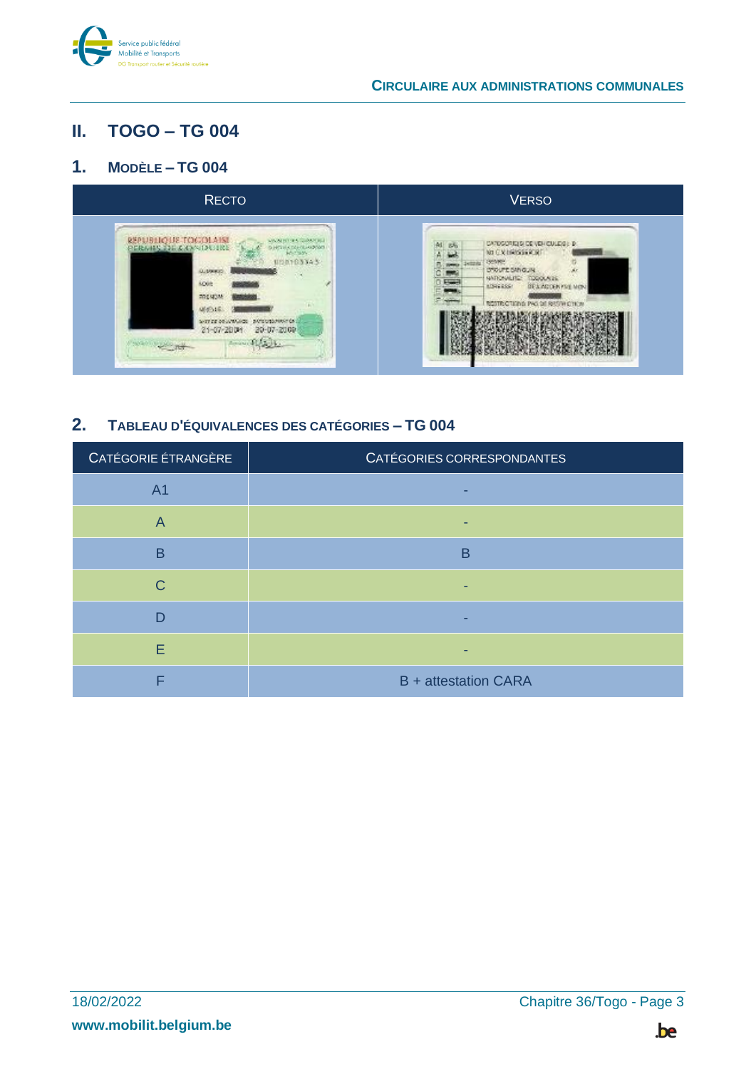

## <span id="page-2-0"></span>**II. TOGO – TG 004**

### <span id="page-2-1"></span>**1. MODÈLE – TG 004**



## <span id="page-2-2"></span>**2. TABLEAU D'ÉQUIVALENCES DES CATÉGORIES – TG 004**

| CATÉGORIE ÉTRANGÈRE | CATÉGORIES CORRESPONDANTES  |
|---------------------|-----------------------------|
| A <sub>1</sub>      |                             |
| $\overline{A}$      |                             |
| B                   | B                           |
| C                   |                             |
| D                   |                             |
| E                   |                             |
| ⊏                   | <b>B</b> + attestation CARA |

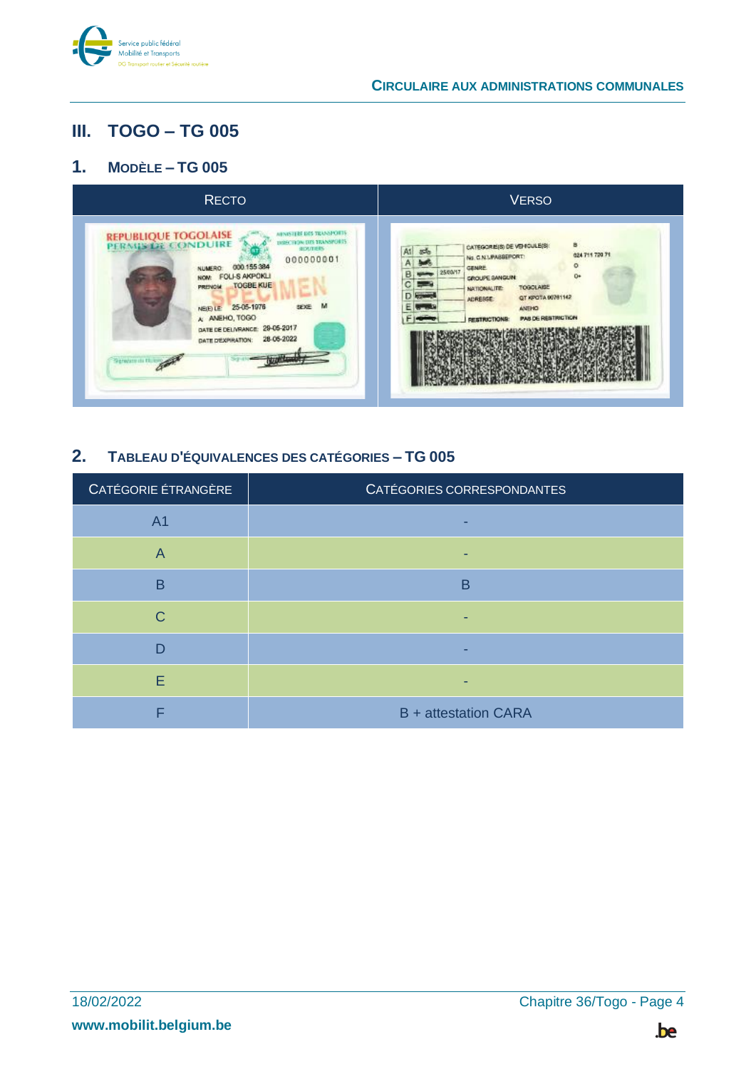

## <span id="page-3-0"></span>**III. TOGO – TG 005**

### <span id="page-3-1"></span>**1. MODÈLE – TG 005**



## <span id="page-3-2"></span>**2. TABLEAU D'ÉQUIVALENCES DES CATÉGORIES – TG 005**

| CATÉGORIE ÉTRANGÈRE     | CATÉGORIES CORRESPONDANTES  |
|-------------------------|-----------------------------|
| A <sub>1</sub>          |                             |
| $\overline{\mathsf{A}}$ |                             |
| B                       | в                           |
| C                       |                             |
| D                       |                             |
| E                       |                             |
|                         | <b>B</b> + attestation CARA |